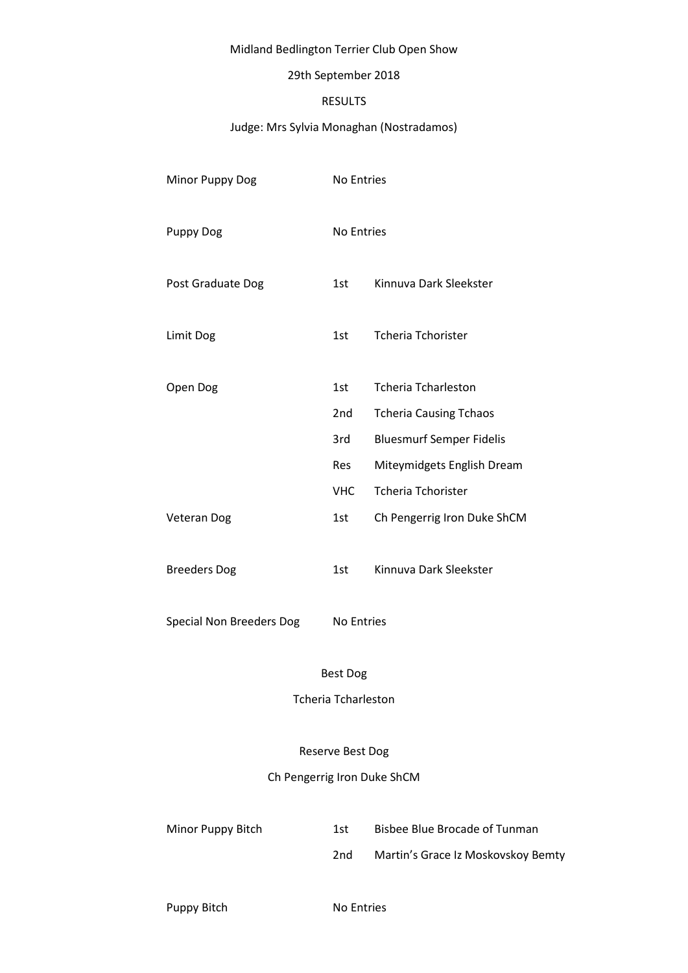# Midland Bedlington Terrier Club Open Show

## 29th September 2018

# RESULTS

# Judge: Mrs Sylvia Monaghan (Nostradamos)

| Minor Puppy Dog                 | No Entries        |                                 |
|---------------------------------|-------------------|---------------------------------|
| <b>Puppy Dog</b>                | <b>No Entries</b> |                                 |
| Post Graduate Dog               | 1st               | Kinnuva Dark Sleekster          |
| Limit Dog                       | 1st               | <b>Tcheria Tchorister</b>       |
| Open Dog                        | 1st               | <b>Tcheria Tcharleston</b>      |
|                                 | 2 <sub>nd</sub>   | <b>Tcheria Causing Tchaos</b>   |
|                                 | 3rd               | <b>Bluesmurf Semper Fidelis</b> |
|                                 | Res               | Miteymidgets English Dream      |
|                                 | <b>VHC</b>        | <b>Tcheria Tchorister</b>       |
| <b>Veteran Dog</b>              | 1st               | Ch Pengerrig Iron Duke ShCM     |
| <b>Breeders Dog</b>             | 1st               | Kinnuva Dark Sleekster          |
| <b>Special Non Breeders Dog</b> | <b>No Entries</b> |                                 |

# Best Dog

Tcheria Tcharleston

#### Reserve Best Dog

Ch Pengerrig Iron Duke ShCM

| Minor Puppy Bitch | 1st. | Bisbee Blue Brocade of Tunman      |
|-------------------|------|------------------------------------|
|                   | 2nd  | Martin's Grace Iz Moskovskoy Bemty |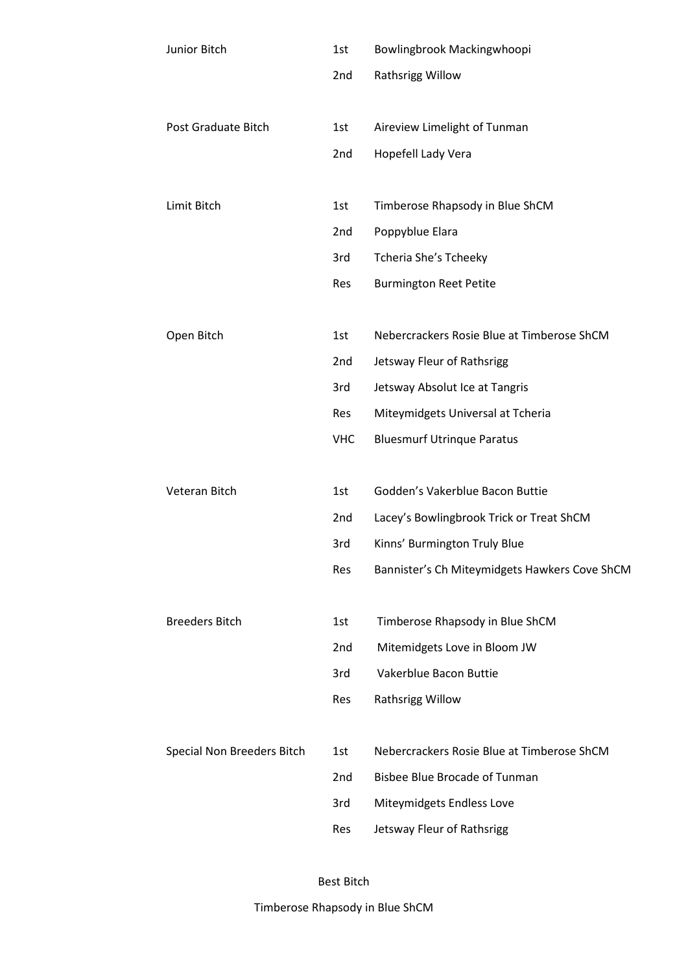| Junior Bitch               | 1st        | Bowlingbrook Mackingwhoopi                    |
|----------------------------|------------|-----------------------------------------------|
|                            | 2nd        | Rathsrigg Willow                              |
|                            |            |                                               |
| Post Graduate Bitch        | 1st        | Aireview Limelight of Tunman                  |
|                            | 2nd        | Hopefell Lady Vera                            |
|                            |            |                                               |
| Limit Bitch                | 1st        | Timberose Rhapsody in Blue ShCM               |
|                            | 2nd        | Poppyblue Elara                               |
|                            | 3rd        | Tcheria She's Tcheeky                         |
|                            | Res        | <b>Burmington Reet Petite</b>                 |
|                            |            |                                               |
| Open Bitch                 | 1st        | Nebercrackers Rosie Blue at Timberose ShCM    |
|                            | 2nd        | Jetsway Fleur of Rathsrigg                    |
|                            | 3rd        | Jetsway Absolut Ice at Tangris                |
|                            | Res        | Miteymidgets Universal at Tcheria             |
|                            | <b>VHC</b> | <b>Bluesmurf Utrinque Paratus</b>             |
|                            |            |                                               |
| Veteran Bitch              | 1st        | Godden's Vakerblue Bacon Buttie               |
|                            | 2nd        | Lacey's Bowlingbrook Trick or Treat ShCM      |
|                            | 3rd        | Kinns' Burmington Truly Blue                  |
|                            | Res        | Bannister's Ch Miteymidgets Hawkers Cove ShCM |
|                            |            |                                               |
| <b>Breeders Bitch</b>      | 1st        | Timberose Rhapsody in Blue ShCM               |
|                            | 2nd        | Mitemidgets Love in Bloom JW                  |
|                            | 3rd        | Vakerblue Bacon Buttie                        |
|                            | Res        | Rathsrigg Willow                              |
|                            |            |                                               |
| Special Non Breeders Bitch | 1st        | Nebercrackers Rosie Blue at Timberose ShCM    |
|                            | 2nd        | <b>Bisbee Blue Brocade of Tunman</b>          |
|                            | 3rd        | Miteymidgets Endless Love                     |
|                            | Res        | Jetsway Fleur of Rathsrigg                    |
|                            |            |                                               |

# Best Bitch

Timberose Rhapsody in Blue ShCM